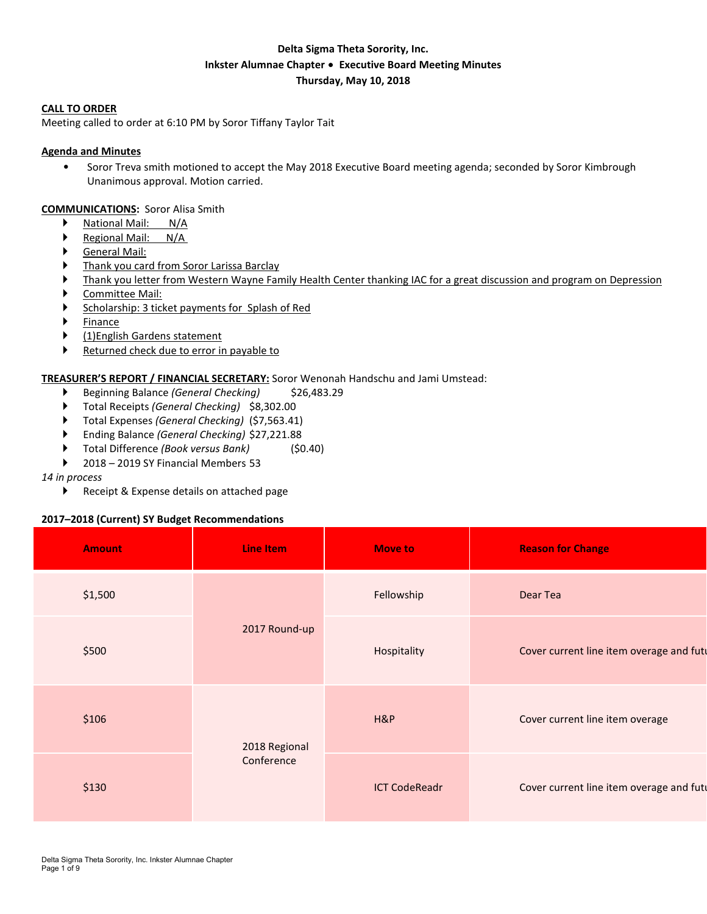## **Delta Sigma Theta Sorority, Inc. Inkster Alumnae Chapter** ∙ **Executive Board Meeting Minutes Thursday, May 10, 2018**

#### **CALL TO ORDER**

Meeting called to order at 6:10 PM by Soror Tiffany Taylor Tait

#### **Agenda and Minutes**

• Soror Treva smith motioned to accept the May 2018 Executive Board meeting agenda; seconded by Soror Kimbrough Unanimous approval. Motion carried.

#### **COMMUNICATIONS:** Soror Alisa Smith

- ▶ National Mail: N/A
- ▶ Regional Mail: N/A
- ▶ General Mail:
- Thank you card from Soror Larissa Barclay
- Thank you letter from Western Wayne Family Health Center thanking IAC for a great discussion and program on Depression
- Committee Mail:
- Scholarship: 3 ticket payments for Splash of Red
- Finance
- (1)English Gardens statement
- Returned check due to error in payable to

#### **TREASURER'S REPORT / FINANCIAL SECRETARY:** Soror Wenonah Handschu and Jami Umstead:

- Beginning Balance *(General Checking)* \$26,483.29
- Total Receipts *(General Checking)* \$8,302.00
- Total Expenses *(General Checking)* (\$7,563.41)
- Ending Balance *(General Checking)* \$27,221.88
- Total Difference *(Book versus Bank)* (\$0.40)
- 2018 2019 SY Financial Members 53

#### *14 in process*

▶ Receipt & Expense details on attached page

#### **2017–2018 (Current) SY Budget Recommendations**

| <b>Amount</b> | Line Item                   | <b>Move to</b>       | <b>Reason for Change</b>                 |
|---------------|-----------------------------|----------------------|------------------------------------------|
| \$1,500       | 2017 Round-up               | Fellowship           | Dear Tea                                 |
| \$500         |                             | Hospitality          | Cover current line item overage and fut  |
| \$106         | 2018 Regional<br>Conference | H&P                  | Cover current line item overage          |
| \$130         |                             | <b>ICT CodeReadr</b> | Cover current line item overage and futu |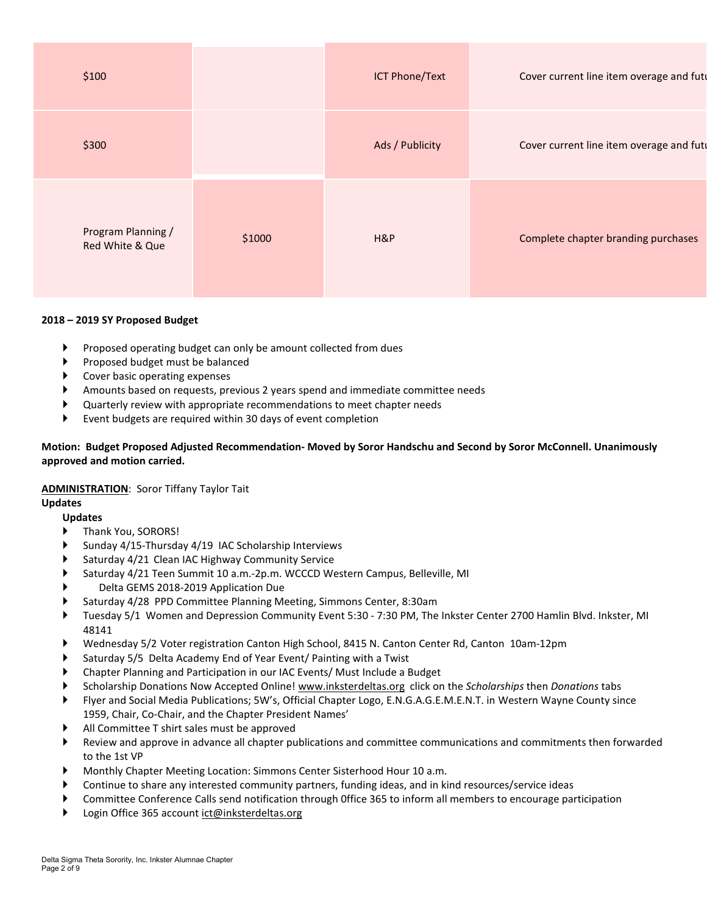| \$100                                 |        | <b>ICT Phone/Text</b> | Cover current line item overage and futu |
|---------------------------------------|--------|-----------------------|------------------------------------------|
| \$300                                 |        | Ads / Publicity       | Cover current line item overage and futu |
| Program Planning /<br>Red White & Que | \$1000 | H&P                   | Complete chapter branding purchases      |

#### **2018 – 2019 SY Proposed Budget**

- Proposed operating budget can only be amount collected from dues
- Proposed budget must be balanced
- $\triangleright$  Cover basic operating expenses
- Amounts based on requests, previous 2 years spend and immediate committee needs
- Quarterly review with appropriate recommendations to meet chapter needs
- Event budgets are required within 30 days of event completion

### **Motion: Budget Proposed Adjusted Recommendation- Moved by Soror Handschu and Second by Soror McConnell. Unanimously approved and motion carried.**

### **ADMINISTRATION**: Soror Tiffany Taylor Tait

### **Updates**

#### **Updates**

- ▶ Thank You, SORORS!
- Sunday 4/15-Thursday 4/19 IAC Scholarship Interviews
- Saturday 4/21 Clean IAC Highway Community Service
- Saturday 4/21 Teen Summit 10 a.m.-2p.m. WCCCD Western Campus, Belleville, MI
- Delta GEMS 2018-2019 Application Due
- Saturday 4/28 PPD Committee Planning Meeting, Simmons Center, 8:30am
- Tuesday 5/1 Women and Depression Community Event 5:30 7:30 PM, The Inkster Center 2700 Hamlin Blvd. Inkster, MI 48141
- Wednesday 5/2 Voter registration Canton High School, 8415 N. Canton Center Rd, Canton 10am-12pm
- Saturday 5/5 Delta Academy End of Year Event/ Painting with a Twist
- Chapter Planning and Participation in our IAC Events/ Must Include a Budget
- Scholarship Donations Now Accepted Online! www.inksterdeltas.org click on the *Scholarships* then *Donations* tabs
- Flyer and Social Media Publications; 5W's, Official Chapter Logo, E.N.G.A.G.E.M.E.N.T. in Western Wayne County since 1959, Chair, Co-Chair, and the Chapter President Names'
- All Committee T shirt sales must be approved
- Review and approve in advance all chapter publications and committee communications and commitments then forwarded to the 1st VP
- Monthly Chapter Meeting Location: Simmons Center Sisterhood Hour 10 a.m.
- Continue to share any interested community partners, funding ideas, and in kind resources/service ideas
- Committee Conference Calls send notification through 0ffice 365 to inform all members to encourage participation
- Login Office 365 account ict@inksterdeltas.org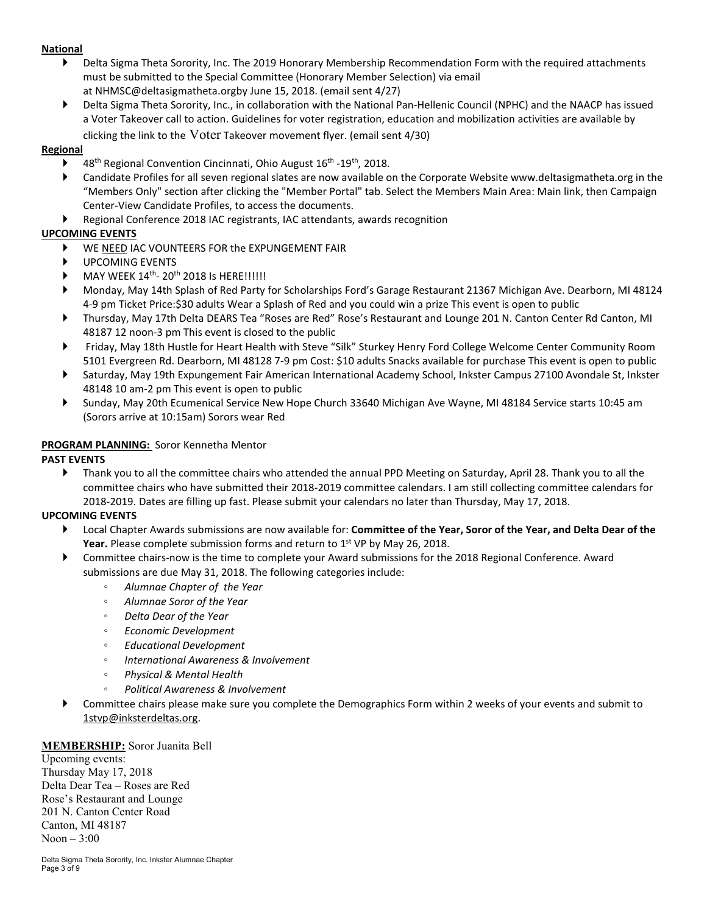### **National**

- Delta Sigma Theta Sorority, Inc. The 2019 Honorary Membership Recommendation Form with the required attachments must be submitted to the Special Committee (Honorary Member Selection) via email at NHMSC@deltasigmatheta.orgby June 15, 2018. (email sent 4/27)
- Delta Sigma Theta Sorority, Inc., in collaboration with the National Pan-Hellenic Council (NPHC) and the NAACP has issued a Voter Takeover call to action. Guidelines for voter registration, education and mobilization activities are available by

## clicking the link to the Voter Takeover movement flyer. (email sent 4/30)

### **Regional**

- 48<sup>th</sup> Regional Convention Cincinnati, Ohio August 16<sup>th</sup> -19<sup>th</sup>, 2018.
- Candidate Profiles for all seven regional slates are now available on the Corporate Website www.deltasigmatheta.org in the "Members Only" section after clicking the "Member Portal" tab. Select the Members Main Area: Main link, then Campaign Center-View Candidate Profiles, to access the documents.
- Regional Conference 2018 IAC registrants, IAC attendants, awards recognition

### **UPCOMING EVENTS**

- WE NEED IAC VOUNTEERS FOR the EXPUNGEMENT FAIR
- UPCOMING EVENTS
- MAY WEEK 14<sup>th</sup>- 20<sup>th</sup> 2018 Is HERE!!!!!!
- Monday, May 14th Splash of Red Party for Scholarships Ford's Garage Restaurant 21367 Michigan Ave. Dearborn, MI 48124 4-9 pm Ticket Price:\$30 adults Wear a Splash of Red and you could win a prize This event is open to public
- Thursday, May 17th Delta DEARS Tea "Roses are Red" Rose's Restaurant and Lounge 201 N. Canton Center Rd Canton, MI 48187 12 noon-3 pm This event is closed to the public
- Friday, May 18th Hustle for Heart Health with Steve "Silk" Sturkey Henry Ford College Welcome Center Community Room 5101 Evergreen Rd. Dearborn, MI 48128 7-9 pm Cost: \$10 adults Snacks available for purchase This event is open to public
- Saturday, May 19th Expungement Fair American International Academy School, Inkster Campus 27100 Avondale St, Inkster 48148 10 am-2 pm This event is open to public
- Sunday, May 20th Ecumenical Service New Hope Church 33640 Michigan Ave Wayne, MI 48184 Service starts 10:45 am (Sorors arrive at 10:15am) Sorors wear Red

### **PROGRAM PLANNING:** Soror Kennetha Mentor

### **PAST EVENTS**

 Thank you to all the committee chairs who attended the annual PPD Meeting on Saturday, April 28. Thank you to all the committee chairs who have submitted their 2018-2019 committee calendars. I am still collecting committee calendars for 2018-2019. Dates are filling up fast. Please submit your calendars no later than Thursday, May 17, 2018.

## **UPCOMING EVENTS**

- Local Chapter Awards submissions are now available for: **Committee of the Year, Soror of the Year, and Delta Dear of the Year.** Please complete submission forms and return to 1<sup>st</sup> VP by May 26, 2018.
- Committee chairs-now is the time to complete your Award submissions for the 2018 Regional Conference. Award submissions are due May 31, 2018. The following categories include:
	- *Alumnae Chapter of the Year*
	- *Alumnae Soror of the Year*
	- *Delta Dear of the Year*
	- *Economic Development*
	- *Educational Development*
	- *International Awareness & Involvement*
	- *Physical & Mental Health*
	- *Political Awareness & Involvement*
- Committee chairs please make sure you complete the Demographics Form within 2 weeks of your events and submit to 1stvp@inksterdeltas.org.

### **MEMBERSHIP:** Soror Juanita Bell

Upcoming events: Thursday May 17, 2018 Delta Dear Tea – Roses are Red Rose's Restaurant and Lounge 201 N. Canton Center Road Canton, MI 48187 Noon – 3:00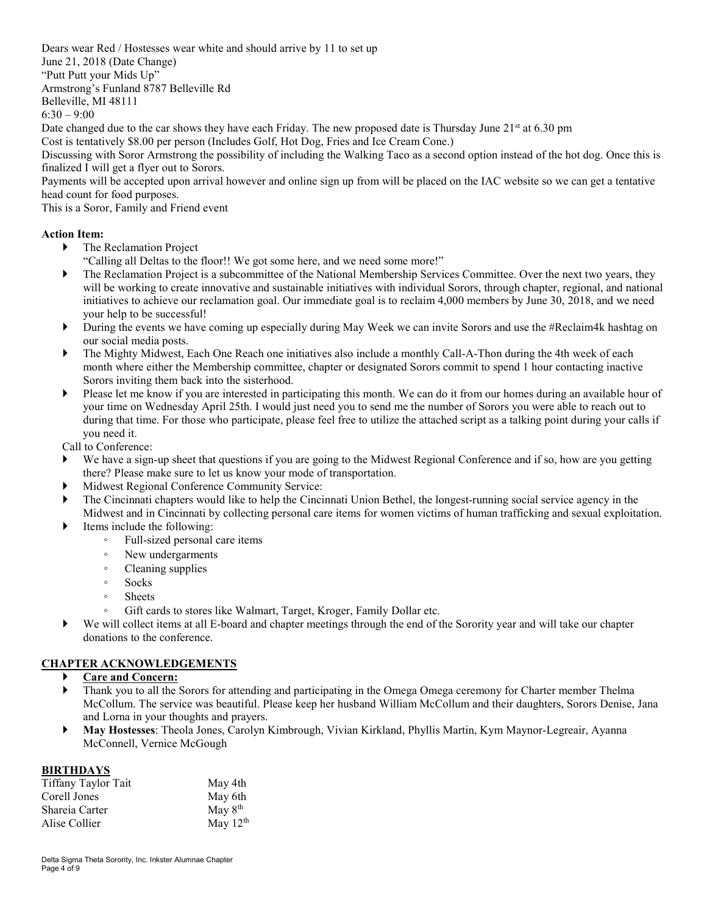Dears wear Red / Hostesses wear white and should arrive by 11 to set up June 21, 2018 (Date Change)

"Putt Putt your Mids Up"

Armstrong's Funland 8787 Belleville Rd

Belleville, MI 48111

6:30 – 9:00

Date changed due to the car shows they have each Friday. The new proposed date is Thursday June 21<sup>st</sup> at 6.30 pm

Cost is tentatively \$8.00 per person (Includes Golf, Hot Dog, Fries and Ice Cream Cone.)

Discussing with Soror Armstrong the possibility of including the Walking Taco as a second option instead of the hot dog. Once this is finalized I will get a flyer out to Sorors.

Payments will be accepted upon arrival however and online sign up from will be placed on the IAC website so we can get a tentative head count for food purposes.

This is a Soror, Family and Friend event

## **Action Item:**

- ▶ The Reclamation Project
- "Calling all Deltas to the floor!! We got some here, and we need some more!"
- The Reclamation Project is a subcommittee of the National Membership Services Committee. Over the next two years, they will be working to create innovative and sustainable initiatives with individual Sorors, through chapter, regional, and national initiatives to achieve our reclamation goal. Our immediate goal is to reclaim 4,000 members by June 30, 2018, and we need your help to be successful!
- During the events we have coming up especially during May Week we can invite Sorors and use the #Reclaim4k hashtag on our social media posts.
- The Mighty Midwest, Each One Reach one initiatives also include a monthly Call-A-Thon during the 4th week of each month where either the Membership committee, chapter or designated Sorors commit to spend 1 hour contacting inactive Sorors inviting them back into the sisterhood.
- Please let me know if you are interested in participating this month. We can do it from our homes during an available hour of your time on Wednesday April 25th. I would just need you to send me the number of Sorors you were able to reach out to during that time. For those who participate, please feel free to utilize the attached script as a talking point during your calls if you need it.

Call to Conference:

- We have a sign-up sheet that questions if you are going to the Midwest Regional Conference and if so, how are you getting there? Please make sure to let us know your mode of transportation.
- Midwest Regional Conference Community Service:
- The Cincinnati chapters would like to help the Cincinnati Union Bethel, the longest-running social service agency in the Midwest and in Cincinnati by collecting personal care items for women victims of human trafficking and sexual exploitation.
- Items include the following:
	- Full-sized personal care items
	- New undergarments
	- Cleaning supplies
	- Socks
	- Sheets
	- Gift cards to stores like Walmart, Target, Kroger, Family Dollar etc.
- $\blacktriangleright$  We will collect items at all E-board and chapter meetings through the end of the Sorority year and will take our chapter donations to the conference.

# **CHAPTER ACKNOWLEDGEMENTS**

- **Care and Concern:**
- Thank you to all the Sorors for attending and participating in the Omega Omega ceremony for Charter member Thelma McCollum. The service was beautiful. Please keep her husband William McCollum and their daughters, Sorors Denise, Jana and Lorna in your thoughts and prayers.
- **May Hostesses**: Theola Jones, Carolyn Kimbrough, Vivian Kirkland, Phyllis Martin, Kym Maynor-Legreair, Ayanna McConnell, Vernice McGough

## **BIRTHDAYS**

| May 4th             |
|---------------------|
| May 6th             |
| May 8 <sup>th</sup> |
| May $12th$          |
|                     |

Delta Sigma Theta Sorority, Inc. Inkster Alumnae Chapter Page 4 of 9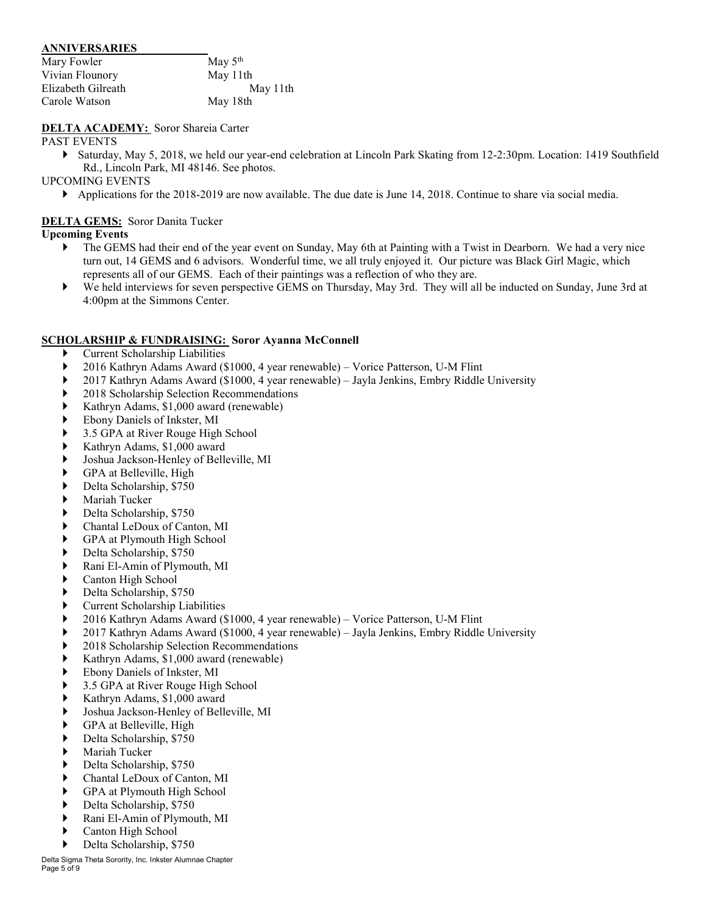### **ANNIVERSARIES**

| Mary Fowler        | May $5th$ |
|--------------------|-----------|
| Vivian Flounory    | May 11th  |
| Elizabeth Gilreath | May 11th  |
| Carole Watson      | May 18th  |

**DELTA ACADEMY:** Soror Shareia Carter

PAST EVENTS

 Saturday, May 5, 2018, we held our year-end celebration at Lincoln Park Skating from 12-2:30pm. Location: 1419 Southfield Rd., Lincoln Park, MI 48146. See photos.

UPCOMING EVENTS

Applications for the 2018-2019 are now available. The due date is June 14, 2018. Continue to share via social media.

## **DELTA GEMS:** Soror Danita Tucker

### **Upcoming Events**

- The GEMS had their end of the year event on Sunday, May 6th at Painting with a Twist in Dearborn. We had a very nice turn out, 14 GEMS and 6 advisors. Wonderful time, we all truly enjoyed it. Our picture was Black Girl Magic, which represents all of our GEMS. Each of their paintings was a reflection of who they are.
- We held interviews for seven perspective GEMS on Thursday, May 3rd. They will all be inducted on Sunday, June 3rd at 4:00pm at the Simmons Center.

### **SCHOLARSHIP & FUNDRAISING: Soror Ayanna McConnell**

- Current Scholarship Liabilities
- 2016 Kathryn Adams Award (\$1000, 4 year renewable) Vorice Patterson, U-M Flint
- 2017 Kathryn Adams Award (\$1000, 4 year renewable) Jayla Jenkins, Embry Riddle University
- 2018 Scholarship Selection Recommendations
- Kathryn Adams, \$1,000 award (renewable)
- Ebony Daniels of Inkster, MI
- 3.5 GPA at River Rouge High School
- Kathryn Adams, \$1,000 award
- Joshua Jackson-Henley of Belleville, MI
- GPA at Belleville, High
- Delta Scholarship, \$750
- Mariah Tucker
- Delta Scholarship, \$750
- Chantal LeDoux of Canton, MI
- GPA at Plymouth High School
- Delta Scholarship, \$750
- Rani El-Amin of Plymouth, MI
- Canton High School
- Delta Scholarship, \$750
- Current Scholarship Liabilities
- 2016 Kathryn Adams Award (\$1000, 4 year renewable) Vorice Patterson, U-M Flint
- 2017 Kathryn Adams Award (\$1000, 4 year renewable) Jayla Jenkins, Embry Riddle University
- 2018 Scholarship Selection Recommendations
- Kathryn Adams, \$1,000 award (renewable)
- Ebony Daniels of Inkster, MI
- 3.5 GPA at River Rouge High School
- Kathryn Adams, \$1,000 award
- Joshua Jackson-Henley of Belleville, MI
- GPA at Belleville, High
- Delta Scholarship, \$750
- Mariah Tucker
- Delta Scholarship, \$750
- Chantal LeDoux of Canton, MI
- GPA at Plymouth High School
- Delta Scholarship, \$750
- Rani El-Amin of Plymouth, MI
- Canton High School
- Delta Scholarship, \$750

Delta Sigma Theta Sorority, Inc. Inkster Alumnae Chapter Page 5 of 9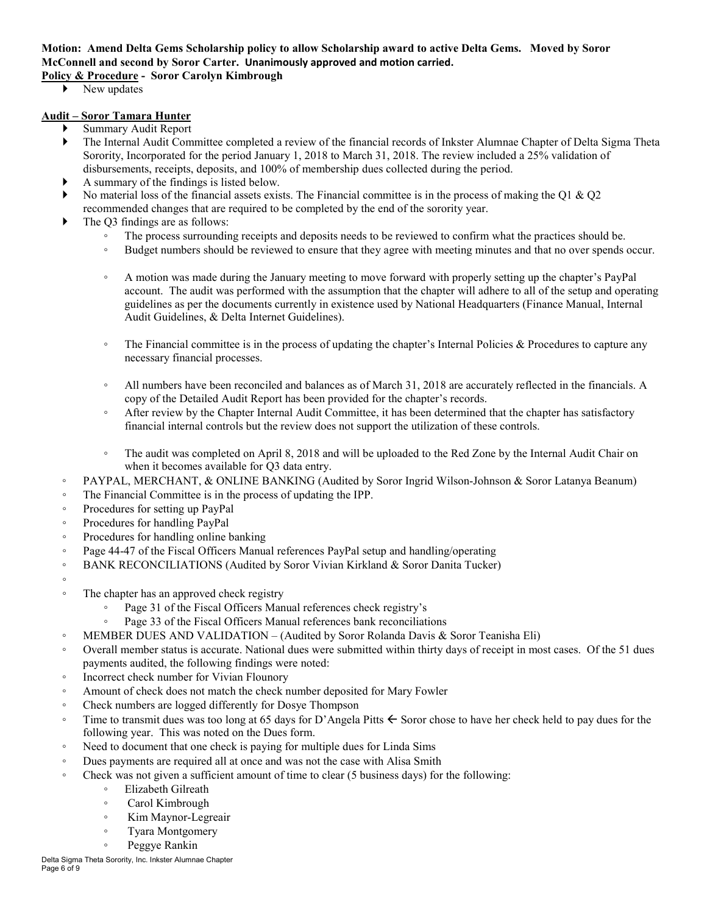# **Motion: Amend Delta Gems Scholarship policy to allow Scholarship award to active Delta Gems. Moved by Soror McConnell and second by Soror Carter. Unanimously approved and motion carried.**

## **Policy & Procedure - Soror Carolyn Kimbrough**

 $\blacktriangleright$  New updates

### **Audit – Soror Tamara Hunter**

- Summary Audit Report
- The Internal Audit Committee completed a review of the financial records of Inkster Alumnae Chapter of Delta Sigma Theta Sorority, Incorporated for the period January 1, 2018 to March 31, 2018. The review included a 25% validation of disbursements, receipts, deposits, and 100% of membership dues collected during the period.
- A summary of the findings is listed below.
- No material loss of the financial assets exists. The Financial committee is in the process of making the Q1  $\&$  Q2 recommended changes that are required to be completed by the end of the sorority year.
- ▶ The Q3 findings are as follows:
	- The process surrounding receipts and deposits needs to be reviewed to confirm what the practices should be.
	- Budget numbers should be reviewed to ensure that they agree with meeting minutes and that no over spends occur.
	- A motion was made during the January meeting to move forward with properly setting up the chapter's PayPal account. The audit was performed with the assumption that the chapter will adhere to all of the setup and operating guidelines as per the documents currently in existence used by National Headquarters (Finance Manual, Internal Audit Guidelines, & Delta Internet Guidelines).
	- The Financial committee is in the process of updating the chapter's Internal Policies & Procedures to capture any necessary financial processes.
	- All numbers have been reconciled and balances as of March 31, 2018 are accurately reflected in the financials. A copy of the Detailed Audit Report has been provided for the chapter's records.
	- After review by the Chapter Internal Audit Committee, it has been determined that the chapter has satisfactory financial internal controls but the review does not support the utilization of these controls.
	- The audit was completed on April 8, 2018 and will be uploaded to the Red Zone by the Internal Audit Chair on when it becomes available for Q3 data entry.
- PAYPAL, MERCHANT, & ONLINE BANKING (Audited by Soror Ingrid Wilson-Johnson & Soror Latanya Beanum)
- The Financial Committee is in the process of updating the IPP.
- Procedures for setting up PayPal
- Procedures for handling PayPal
- Procedures for handling online banking
- Page 44-47 of the Fiscal Officers Manual references PayPal setup and handling/operating
- BANK RECONCILIATIONS (Audited by Soror Vivian Kirkland & Soror Danita Tucker)
- ◦
- The chapter has an approved check registry
	- Page 31 of the Fiscal Officers Manual references check registry's
	- Page 33 of the Fiscal Officers Manual references bank reconciliations
- MEMBER DUES AND VALIDATION (Audited by Soror Rolanda Davis & Soror Teanisha Eli)
- Overall member status is accurate. National dues were submitted within thirty days of receipt in most cases. Of the 51 dues payments audited, the following findings were noted:
- Incorrect check number for Vivian Flounory
- Amount of check does not match the check number deposited for Mary Fowler
- Check numbers are logged differently for Dosye Thompson
- $\degree$  Time to transmit dues was too long at 65 days for D'Angela Pitts  $\epsilon$  Soror chose to have her check held to pay dues for the following year. This was noted on the Dues form.
- Need to document that one check is paying for multiple dues for Linda Sims
- Dues payments are required all at once and was not the case with Alisa Smith
- Check was not given a sufficient amount of time to clear (5 business days) for the following:
	- Elizabeth Gilreath
	- Carol Kimbrough
	- Kim Maynor-Legreair
	- Tyara Montgomery
	- Peggye Rankin

Delta Sigma Theta Sorority, Inc. Inkster Alumnae Chapter Page 6 of 9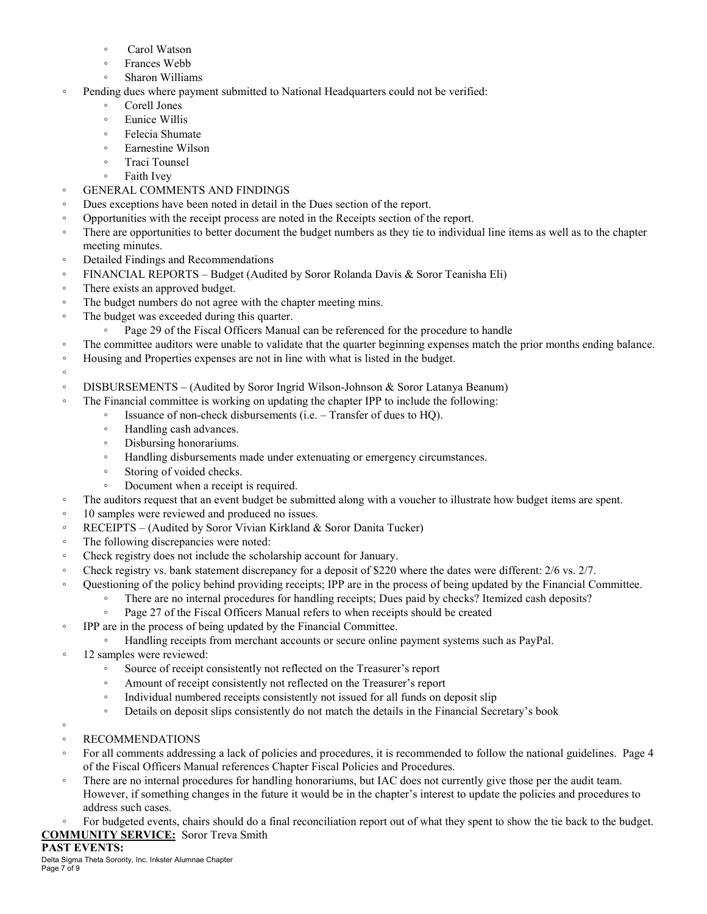- Carol Watson
- Frances Webb
- Sharon Williams
- Pending dues where payment submitted to National Headquarters could not be verified:
	- Corell Jones
	- Eunice Willis
	- Felecia Shumate
	- Earnestine Wilson
	- Traci Tounsel
	- Faith Ivey
- GENERAL COMMENTS AND FINDINGS
- Dues exceptions have been noted in detail in the Dues section of the report.
- Opportunities with the receipt process are noted in the Receipts section of the report.
- There are opportunities to better document the budget numbers as they tie to individual line items as well as to the chapter meeting minutes.
- Detailed Findings and Recommendations
- FINANCIAL REPORTS Budget (Audited by Soror Rolanda Davis & Soror Teanisha Eli)
- There exists an approved budget.
- The budget numbers do not agree with the chapter meeting mins.
- The budget was exceeded during this quarter.
	- Page 29 of the Fiscal Officers Manual can be referenced for the procedure to handle
- The committee auditors were unable to validate that the quarter beginning expenses match the prior months ending balance.
- Housing and Properties expenses are not in line with what is listed in the budget.
- ◦ DISBURSEMENTS – (Audited by Soror Ingrid Wilson-Johnson & Soror Latanya Beanum)
- The Financial committee is working on updating the chapter IPP to include the following:
	- Issuance of non-check disbursements (i.e. Transfer of dues to HQ).
	- Handling cash advances.
	- Disbursing honorariums.
	- Handling disbursements made under extenuating or emergency circumstances.
	- Storing of voided checks.
	- Document when a receipt is required.
- The auditors request that an event budget be submitted along with a voucher to illustrate how budget items are spent.
- 10 samples were reviewed and produced no issues.
- RECEIPTS (Audited by Soror Vivian Kirkland & Soror Danita Tucker)
- The following discrepancies were noted:
- Check registry does not include the scholarship account for January.
- Check registry vs. bank statement discrepancy for a deposit of \$220 where the dates were different: 2/6 vs. 2/7.
- Questioning of the policy behind providing receipts; IPP are in the process of being updated by the Financial Committee.
	- There are no internal procedures for handling receipts; Dues paid by checks? Itemized cash deposits?
	- Page 27 of the Fiscal Officers Manual refers to when receipts should be created
- IPP are in the process of being updated by the Financial Committee.
	- Handling receipts from merchant accounts or secure online payment systems such as PayPal.
- 12 samples were reviewed:
	- Source of receipt consistently not reflected on the Treasurer's report
	- Amount of receipt consistently not reflected on the Treasurer's report
	- Individual numbered receipts consistently not issued for all funds on deposit slip
	- Details on deposit slips consistently do not match the details in the Financial Secretary's book
- ◦ RECOMMENDATIONS
- For all comments addressing a lack of policies and procedures, it is recommended to follow the national guidelines. Page 4 of the Fiscal Officers Manual references Chapter Fiscal Policies and Procedures.
- There are no internal procedures for handling honorariums, but IAC does not currently give those per the audit team. However, if something changes in the future it would be in the chapter's interest to update the policies and procedures to address such cases.
- For budgeted events, chairs should do a final reconciliation report out of what they spent to show the tie back to the budget.

## **COMMUNITY SERVICE:** Soror Treva Smith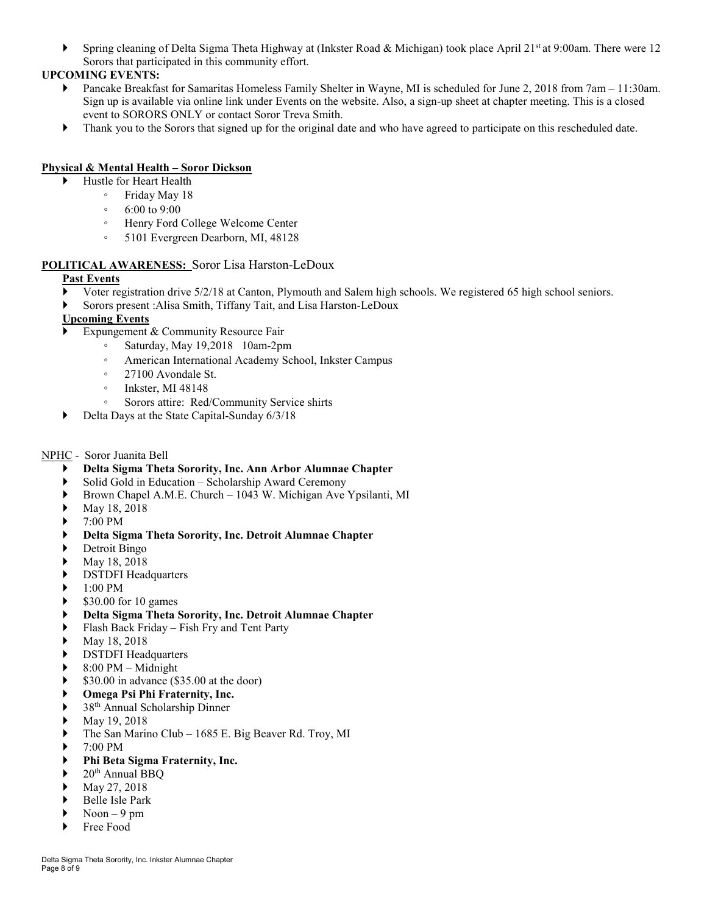Spring cleaning of Delta Sigma Theta Highway at (Inkster Road & Michigan) took place April 21<sup>st</sup> at 9:00am. There were 12 Sorors that participated in this community effort.

## **UPCOMING EVENTS:**

- Pancake Breakfast for Samaritas Homeless Family Shelter in Wayne, MI is scheduled for June 2, 2018 from 7am 11:30am. Sign up is available via online link under Events on the website. Also, a sign-up sheet at chapter meeting. This is a closed event to SORORS ONLY or contact Soror Treva Smith.
- Thank you to the Sorors that signed up for the original date and who have agreed to participate on this rescheduled date.

### **Physical & Mental Health – Soror Dickson**

- Hustle for Heart Health
	- Friday May 18
	- 6:00 to 9:00
	- Henry Ford College Welcome Center
	- 5101 Evergreen Dearborn, MI, 48128

### **POLITICAL AWARENESS:** Soror Lisa Harston-LeDoux

### **Past Events**

- Voter registration drive 5/2/18 at Canton, Plymouth and Salem high schools. We registered 65 high school seniors.
- Sorors present :Alisa Smith, Tiffany Tait, and Lisa Harston-LeDoux

### **Upcoming Events**

- Expungement & Community Resource Fair
	- Saturday, May 19,2018 10am-2pm
	- American International Academy School, Inkster Campus
	- 27100 Avondale St.
	- Inkster, MI 48148
	- Sorors attire: Red/Community Service shirts
- ▶ Delta Days at the State Capital-Sunday 6/3/18

### NPHC - Soror Juanita Bell

- **Delta Sigma Theta Sorority, Inc. Ann Arbor Alumnae Chapter**
- Solid Gold in Education Scholarship Award Ceremony
- Brown Chapel A.M.E. Church 1043 W. Michigan Ave Ypsilanti, MI
- May 18, 2018
- 7:00 PM
- **Delta Sigma Theta Sorority, Inc. Detroit Alumnae Chapter**
- Detroit Bingo
- ▶ May 18, 2018
- DSTDFI Headquarters
- 1:00 PM
- \$30.00 for 10 games
- **Delta Sigma Theta Sorority, Inc. Detroit Alumnae Chapter**
- Flash Back Friday Fish Fry and Tent Party
- May 18, 2018
- DSTDFI Headquarters
- 8:00 PM Midnight
- \$30.00 in advance (\$35.00 at the door)

### **Omega Psi Phi Fraternity, Inc.**

- 38th Annual Scholarship Dinner
- May 19, 2018
- The San Marino Club 1685 E. Big Beaver Rd. Troy, MI
- 7:00 PM
- **Phi Beta Sigma Fraternity, Inc.**
- 20th Annual BBQ
- May 27, 2018
- Belle Isle Park
- $Noon 9 pm$
- ▶ Free Food